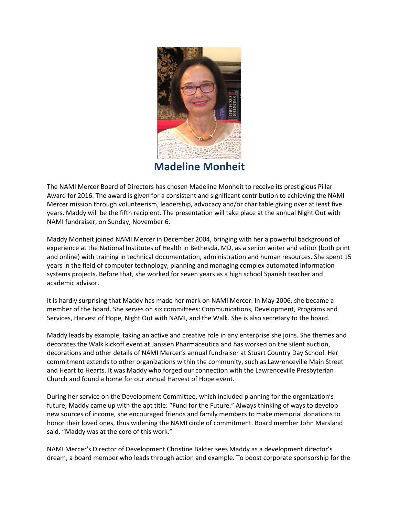

The NAMI Mercer Board of Directors has chosen Madeline Monheit to receive its prestigious Pillar Award for 2016. The award is given for a consistent and significant contribution to achieving the NAMI Mercer mission through volunteerism, leadership, advocacy and/or charitable giving over at least five years. Maddy will be the fifth recipient. The presentation will take place at the annual Night Out with NAMI fundraiser, on Sunday, November 6.

Maddy Monheit joined NAMI Mercer in December 2004, bringing with her a powerful background of experience at the National Institutes of Health in Bethesda, MD, as a senior writer and editor (both print and online) with training in technical documentation, administration and human resources. She spent 15 years in the field of computer technology, planning and managing complex automated information systems projects. Before that, she worked for seven years as a high school Spanish teacher and academic advisor.

It is hardly surprising that Maddy has made her mark on NAMI Mercer. In May 2006, she became a member of the board. She serves on six committees: Communications, Development, Programs and Services, Harvest of Hope, Night Out with NAMI, and the Walk. She is also secretary to the board.

Maddy leads by example, taking an active and creative role in any enterprise she joins. She themes and decorates the Walk kickoff event at Janssen Pharmaceutica and has worked on the silent auction, decorations and other details of NAMI Mercer's annual fundraiser at Stuart Country Day School. Her commitment extends to other organizations within the community, such as Lawrenceville Main Street and Heart to Hearts. It was Maddy who forged our connection with the Lawrenceville Presbyterian Church and found a home for our annual Harvest of Hope event.

During her service on the Development Committee, which included planning for the organization's future, Maddy came up with the apt title: "Fund for the Future." Always thinking of ways to develop new sources of income, she encouraged friends and family members to make memorial donations to honor their loved ones, thus widening the NAMI circle of commitment. Board member John Marsland said, "Maddy was at the core of this work."

NAMI Mercer's Director of Development Christine Bakter sees Maddy as a development director's dream, a board member who leads through action and example. To boost corporate sponsorship for the